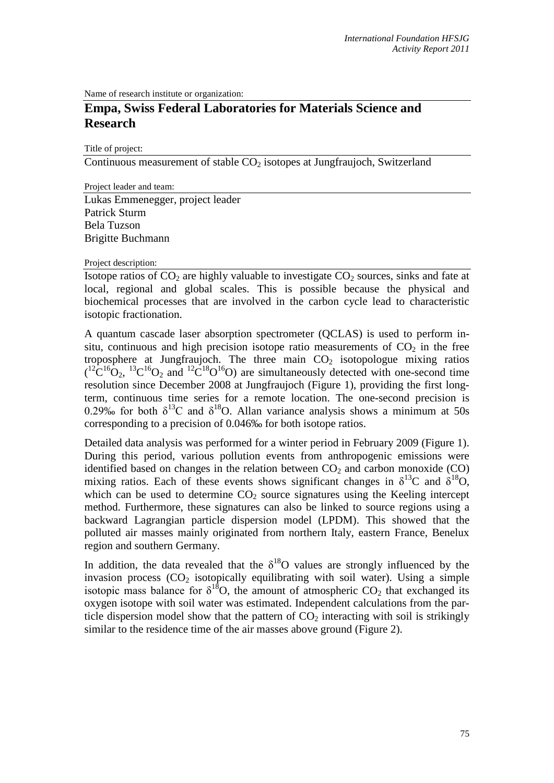Name of research institute or organization:

## **Empa, Swiss Federal Laboratories for Materials Science and Research**

Title of project:

Continuous measurement of stable  $CO<sub>2</sub>$  isotopes at Jungfraujoch, Switzerland

Project leader and team: Lukas Emmenegger, project leader Patrick Sturm Bela Tuzson Brigitte Buchmann

Project description:

Isotope ratios of  $CO<sub>2</sub>$  are highly valuable to investigate  $CO<sub>2</sub>$  sources, sinks and fate at local, regional and global scales. This is possible because the physical and biochemical processes that are involved in the carbon cycle lead to characteristic isotopic fractionation.

A quantum cascade laser absorption spectrometer (QCLAS) is used to perform insitu, continuous and high precision isotope ratio measurements of  $CO<sub>2</sub>$  in the free troposphere at Jungfraujoch. The three main  $CO<sub>2</sub>$  isotopologue mixing ratios  $({}^{12}C^{16}O_2, {}^{13}C^{16}O_2$  and  ${}^{12}C^{18}O^{16}O_2$  are simultaneously detected with one-second time resolution since December 2008 at Jungfraujoch (Figure 1), providing the first longterm, continuous time series for a remote location. The one-second precision is 0.29‰ for both  $\delta^{13}$ C and  $\delta^{18}$ O. Allan variance analysis shows a minimum at 50s corresponding to a precision of 0.046‰ for both isotope ratios.

Detailed data analysis was performed for a winter period in February 2009 (Figure 1). During this period, various pollution events from anthropogenic emissions were identified based on changes in the relation between  $CO<sub>2</sub>$  and carbon monoxide (CO) mixing ratios. Each of these events shows significant changes in  $\delta^{13}C$  and  $\delta^{18}O$ , which can be used to determine  $CO<sub>2</sub>$  source signatures using the Keeling intercept method. Furthermore, these signatures can also be linked to source regions using a backward Lagrangian particle dispersion model (LPDM). This showed that the polluted air masses mainly originated from northern Italy, eastern France, Benelux region and southern Germany.

In addition, the data revealed that the  $\delta^{18}O$  values are strongly influenced by the invasion process  $(CO<sub>2</sub>$  isotopically equilibrating with soil water). Using a simple isotopic mass balance for  $\delta^{18}O$ , the amount of atmospheric  $CO_2$  that exchanged its oxygen isotope with soil water was estimated. Independent calculations from the particle dispersion model show that the pattern of  $CO<sub>2</sub>$  interacting with soil is strikingly similar to the residence time of the air masses above ground (Figure 2).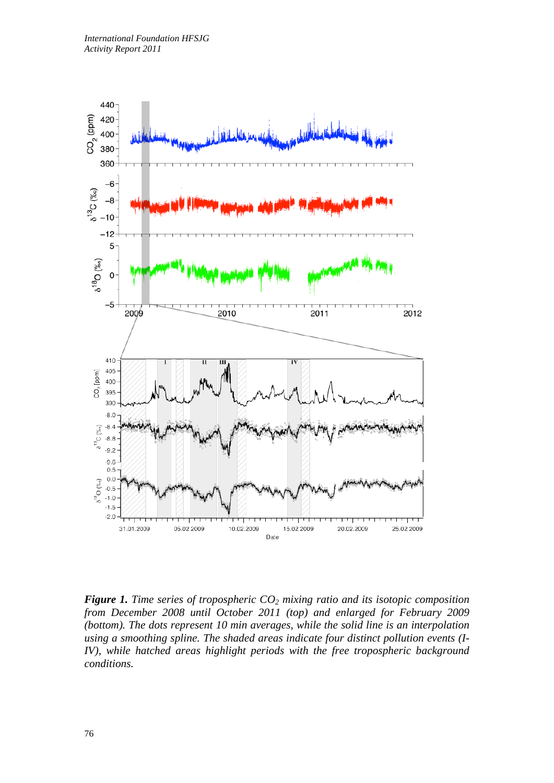

*Figure 1. Time series of tropospheric CO<sub>2</sub> mixing ratio and its isotopic composition from December 2008 until October 2011 (top) and enlarged for February 2009 (bottom). The dots represent 10 min averages, while the solid line is an interpolation using a smoothing spline. The shaded areas indicate four distinct pollution events (I-IV*), while hatched areas highlight periods with the free tropospheric background *conditions.*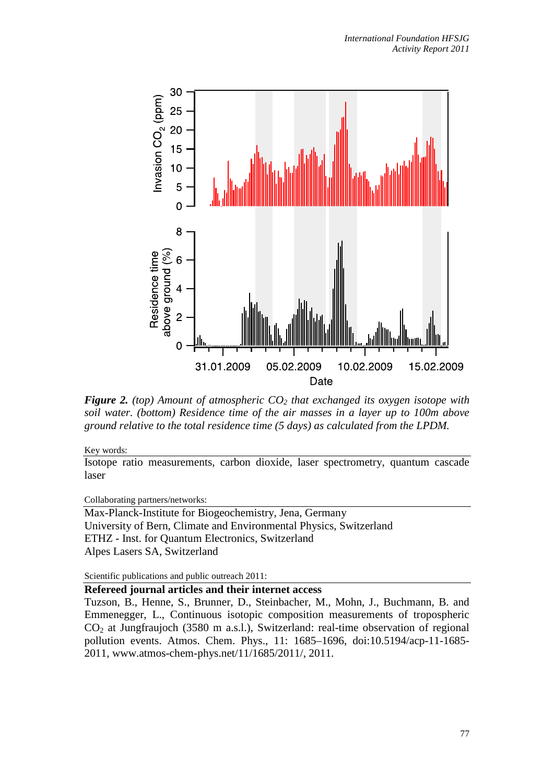

*Figure 2. (top) Amount of atmospheric CO2 that exchanged its oxygen isotope with soil water. (bottom) Residence time of the air masses in a layer up to 100m above ground relative to the total residence time (5 days) as calculated from the LPDM.*

Key words:

Isotope ratio measurements, carbon dioxide, laser spectrometry, quantum cascade laser

Collaborating partners/networks:

Max-Planck-Institute for Biogeochemistry, Jena, Germany University of Bern, Climate and Environmental Physics, Switzerland ETHZ - Inst. for Quantum Electronics, Switzerland Alpes Lasers SA, Switzerland

Scientific publications and public outreach 2011:

## **Refereed journal articles and their internet access**

Tuzson, B., Henne, S., Brunner, D., Steinbacher, M., Mohn, J., Buchmann, B. and Emmenegger, L., Continuous isotopic composition measurements of tropospheric  $CO<sub>2</sub>$  at Jungfraujoch (3580 m a.s.l.), Switzerland: real-time observation of regional pollution events. Atmos. Chem. Phys., 11: 1685–1696, doi:10.5194/acp-11-1685- 2011, www.atmos-chem-phys.net/11/1685/2011/, 2011.